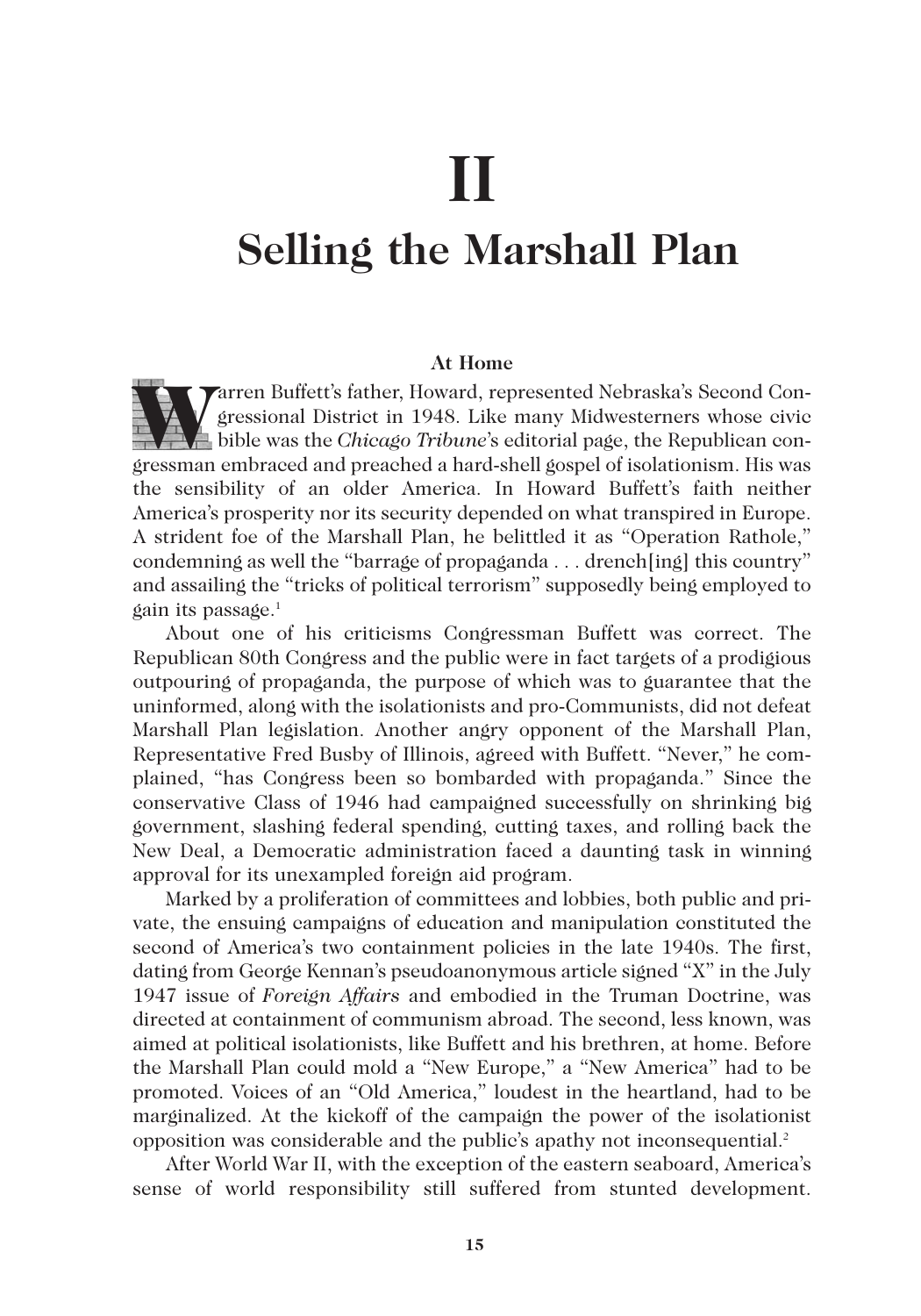**II**

# **Selling the Marshall Plan**

#### **At Home**

arren Buffett's father, Howard, represented Nebraska's Second Congressional District in 1948. Like many Midwesterners whose civic bible was the *Chicago Tribune*'s editorial page, the Republican con-Farren Buffett's father, Howard, represented Nebraska's Second Congressional District in 1948. Like many Midwesterners whose civice bible was the *Chicago Tribune's* editorial page, the Republican congressman embraced and the sensibility of an older America. In Howard Buffett's faith neither America's prosperity nor its security depended on what transpired in Europe. A strident foe of the Marshall Plan, he belittled it as "Operation Rathole," condemning as well the "barrage of propaganda . . . drench[ing] this country" and assailing the "tricks of political terrorism" supposedly being employed to gain its passage.<sup>1</sup>

About one of his criticisms Congressman Buffett was correct. The Republican 80th Congress and the public were in fact targets of a prodigious outpouring of propaganda, the purpose of which was to guarantee that the uninformed, along with the isolationists and pro-Communists, did not defeat Marshall Plan legislation. Another angry opponent of the Marshall Plan, Representative Fred Busby of Illinois, agreed with Buffett. "Never," he complained, "has Congress been so bombarded with propaganda." Since the conservative Class of 1946 had campaigned successfully on shrinking big government, slashing federal spending, cutting taxes, and rolling back the New Deal, a Democratic administration faced a daunting task in winning approval for its unexampled foreign aid program.

Marked by a proliferation of committees and lobbies, both public and private, the ensuing campaigns of education and manipulation constituted the second of America's two containment policies in the late 1940s. The first, dating from George Kennan's pseudoanonymous article signed "X" in the July 1947 issue of *Foreign Affairs* and embodied in the Truman Doctrine, was directed at containment of communism abroad. The second, less known, was aimed at political isolationists, like Buffett and his brethren, at home. Before the Marshall Plan could mold a "New Europe," a "New America" had to be promoted. Voices of an "Old America," loudest in the heartland, had to be marginalized. At the kickoff of the campaign the power of the isolationist opposition was considerable and the public's apathy not inconsequential.2

After World War II, with the exception of the eastern seaboard, America's sense of world responsibility still suffered from stunted development.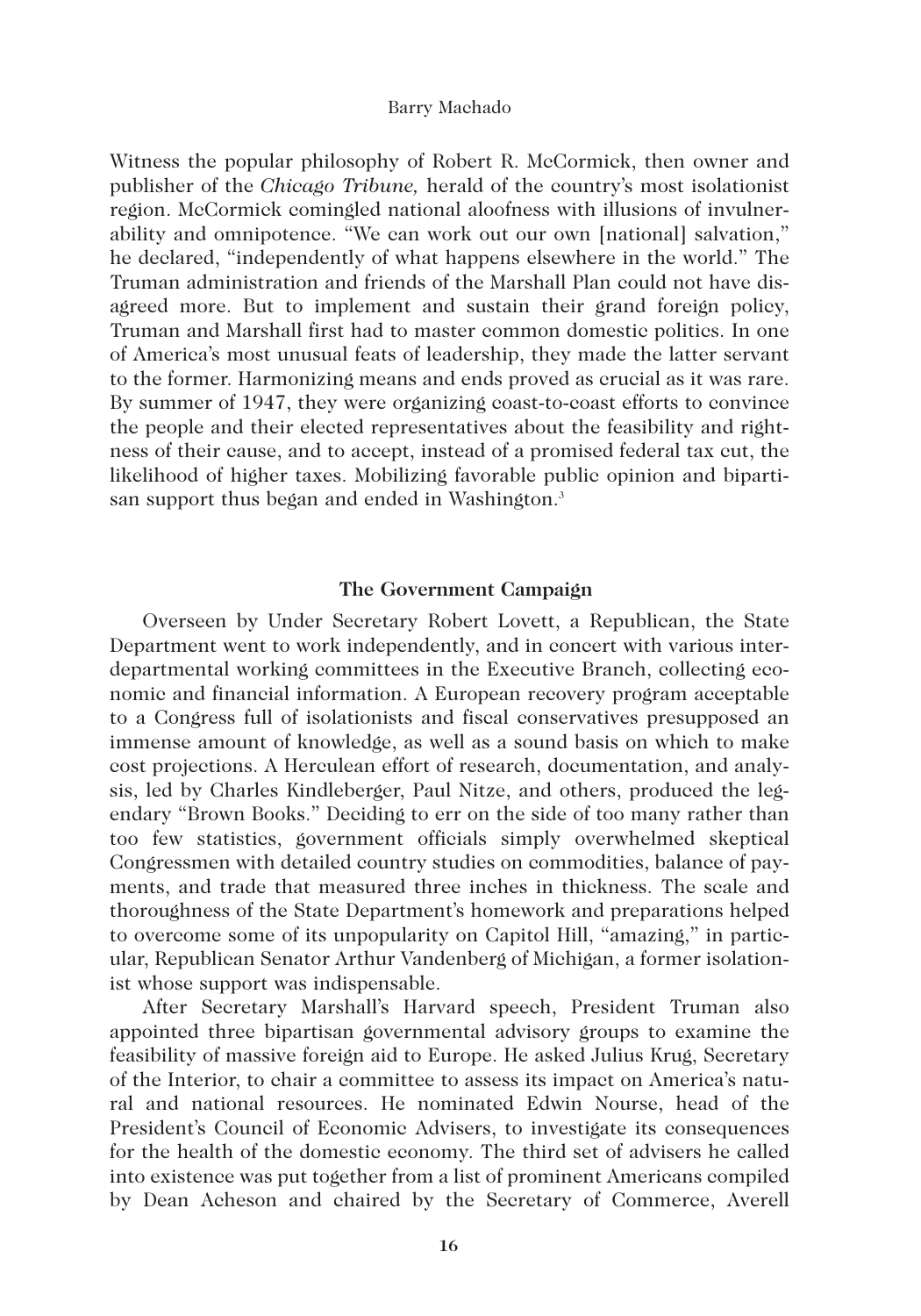Witness the popular philosophy of Robert R. McCormick, then owner and publisher of the *Chicago Tribune,* herald of the country's most isolationist region. McCormick comingled national aloofness with illusions of invulnerability and omnipotence. "We can work out our own [national] salvation," he declared, "independently of what happens elsewhere in the world." The Truman administration and friends of the Marshall Plan could not have disagreed more. But to implement and sustain their grand foreign policy, Truman and Marshall first had to master common domestic politics. In one of America's most unusual feats of leadership, they made the latter servant to the former. Harmonizing means and ends proved as crucial as it was rare. By summer of 1947, they were organizing coast-to-coast efforts to convince the people and their elected representatives about the feasibility and rightness of their cause, and to accept, instead of a promised federal tax cut, the likelihood of higher taxes. Mobilizing favorable public opinion and bipartisan support thus began and ended in Washington.<sup>3</sup>

# **The Government Campaign**

Overseen by Under Secretary Robert Lovett, a Republican, the State Department went to work independently, and in concert with various interdepartmental working committees in the Executive Branch, collecting economic and financial information. A European recovery program acceptable to a Congress full of isolationists and fiscal conservatives presupposed an immense amount of knowledge, as well as a sound basis on which to make cost projections. A Herculean effort of research, documentation, and analysis, led by Charles Kindleberger, Paul Nitze, and others, produced the legendary "Brown Books." Deciding to err on the side of too many rather than too few statistics, government officials simply overwhelmed skeptical Congressmen with detailed country studies on commodities, balance of payments, and trade that measured three inches in thickness. The scale and thoroughness of the State Department's homework and preparations helped to overcome some of its unpopularity on Capitol Hill, "amazing," in particular, Republican Senator Arthur Vandenberg of Michigan, a former isolationist whose support was indispensable.

After Secretary Marshall's Harvard speech, President Truman also appointed three bipartisan governmental advisory groups to examine the feasibility of massive foreign aid to Europe. He asked Julius Krug, Secretary of the Interior, to chair a committee to assess its impact on America's natural and national resources. He nominated Edwin Nourse, head of the President's Council of Economic Advisers, to investigate its consequences for the health of the domestic economy. The third set of advisers he called into existence was put together from a list of prominent Americans compiled by Dean Acheson and chaired by the Secretary of Commerce, Averell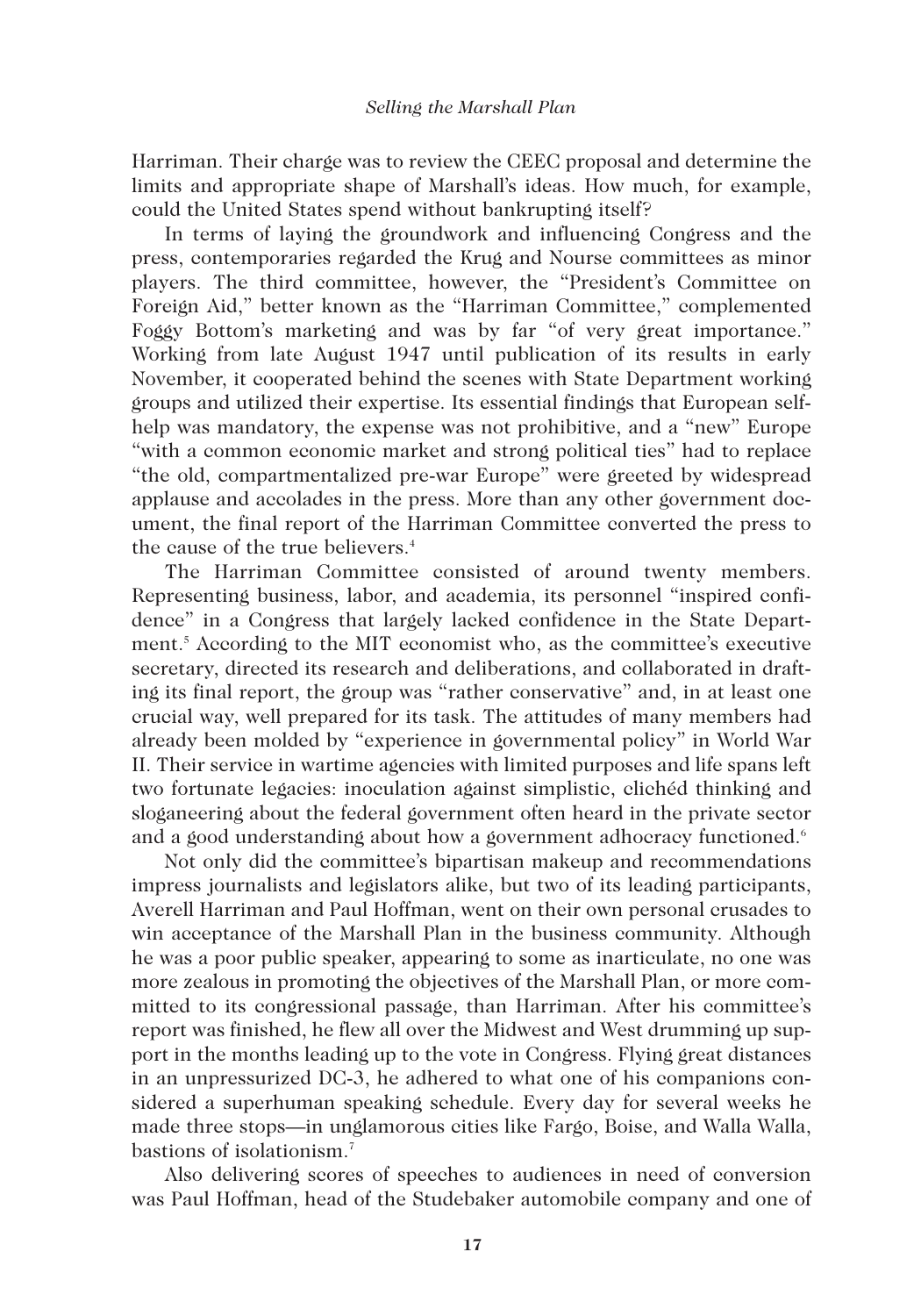Harriman. Their charge was to review the CEEC proposal and determine the limits and appropriate shape of Marshall's ideas. How much, for example, could the United States spend without bankrupting itself?

In terms of laying the groundwork and influencing Congress and the press, contemporaries regarded the Krug and Nourse committees as minor players. The third committee, however, the "President's Committee on Foreign Aid," better known as the "Harriman Committee," complemented Foggy Bottom's marketing and was by far "of very great importance." Working from late August 1947 until publication of its results in early November, it cooperated behind the scenes with State Department working groups and utilized their expertise. Its essential findings that European selfhelp was mandatory, the expense was not prohibitive, and a "new" Europe "with a common economic market and strong political ties" had to replace "the old, compartmentalized pre-war Europe" were greeted by widespread applause and accolades in the press. More than any other government document, the final report of the Harriman Committee converted the press to the cause of the true believers.<sup>4</sup>

The Harriman Committee consisted of around twenty members. Representing business, labor, and academia, its personnel "inspired confidence" in a Congress that largely lacked confidence in the State Department.5 According to the MIT economist who, as the committee's executive secretary, directed its research and deliberations, and collaborated in drafting its final report, the group was "rather conservative" and, in at least one crucial way, well prepared for its task. The attitudes of many members had already been molded by "experience in governmental policy" in World War II. Their service in wartime agencies with limited purposes and life spans left two fortunate legacies: inoculation against simplistic, clichéd thinking and sloganeering about the federal government often heard in the private sector and a good understanding about how a government adhocracy functioned.<sup>6</sup>

Not only did the committee's bipartisan makeup and recommendations impress journalists and legislators alike, but two of its leading participants, Averell Harriman and Paul Hoffman, went on their own personal crusades to win acceptance of the Marshall Plan in the business community. Although he was a poor public speaker, appearing to some as inarticulate, no one was more zealous in promoting the objectives of the Marshall Plan, or more committed to its congressional passage, than Harriman. After his committee's report was finished, he flew all over the Midwest and West drumming up support in the months leading up to the vote in Congress. Flying great distances in an unpressurized DC-3, he adhered to what one of his companions considered a superhuman speaking schedule. Every day for several weeks he made three stops—in unglamorous cities like Fargo, Boise, and Walla Walla, bastions of isolationism.7

Also delivering scores of speeches to audiences in need of conversion was Paul Hoffman, head of the Studebaker automobile company and one of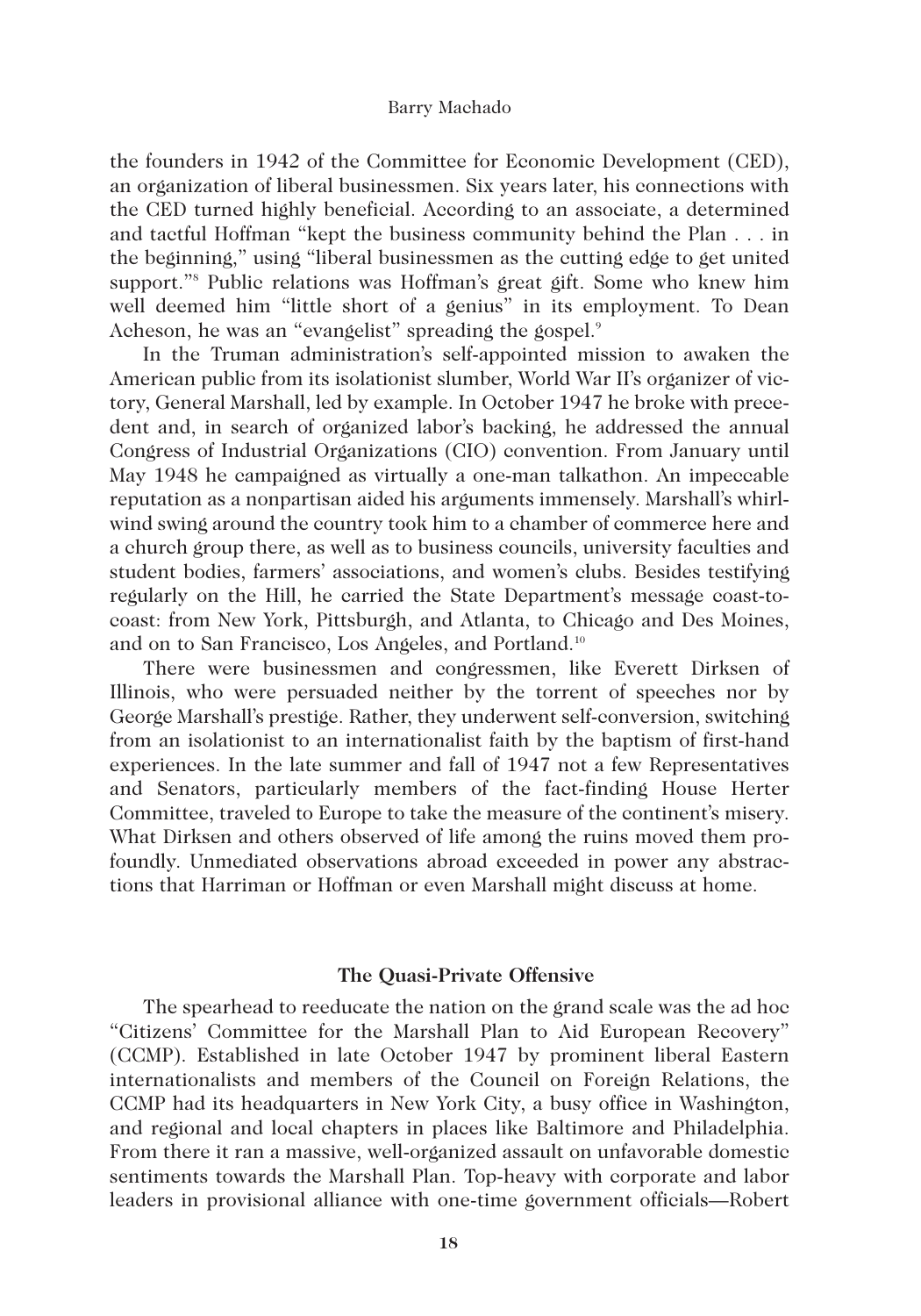the founders in 1942 of the Committee for Economic Development (CED), an organization of liberal businessmen. Six years later, his connections with the CED turned highly beneficial. According to an associate, a determined and tactful Hoffman "kept the business community behind the Plan . . . in the beginning," using "liberal businessmen as the cutting edge to get united support."8 Public relations was Hoffman's great gift. Some who knew him well deemed him "little short of a genius" in its employment. To Dean Acheson, he was an "evangelist" spreading the gospel.<sup>9</sup>

In the Truman administration's self-appointed mission to awaken the American public from its isolationist slumber, World War II's organizer of victory, General Marshall, led by example. In October 1947 he broke with precedent and, in search of organized labor's backing, he addressed the annual Congress of Industrial Organizations (CIO) convention. From January until May 1948 he campaigned as virtually a one-man talkathon. An impeccable reputation as a nonpartisan aided his arguments immensely. Marshall's whirlwind swing around the country took him to a chamber of commerce here and a church group there, as well as to business councils, university faculties and student bodies, farmers' associations, and women's clubs. Besides testifying regularly on the Hill, he carried the State Department's message coast-tocoast: from New York, Pittsburgh, and Atlanta, to Chicago and Des Moines, and on to San Francisco, Los Angeles, and Portland.10

There were businessmen and congressmen, like Everett Dirksen of Illinois, who were persuaded neither by the torrent of speeches nor by George Marshall's prestige. Rather, they underwent self-conversion, switching from an isolationist to an internationalist faith by the baptism of first-hand experiences. In the late summer and fall of 1947 not a few Representatives and Senators, particularly members of the fact-finding House Herter Committee, traveled to Europe to take the measure of the continent's misery. What Dirksen and others observed of life among the ruins moved them profoundly. Unmediated observations abroad exceeded in power any abstractions that Harriman or Hoffman or even Marshall might discuss at home.

# **The Quasi-Private Offensive**

The spearhead to reeducate the nation on the grand scale was the ad hoc "Citizens' Committee for the Marshall Plan to Aid European Recovery" (CCMP). Established in late October 1947 by prominent liberal Eastern internationalists and members of the Council on Foreign Relations, the CCMP had its headquarters in New York City, a busy office in Washington, and regional and local chapters in places like Baltimore and Philadelphia. From there it ran a massive, well-organized assault on unfavorable domestic sentiments towards the Marshall Plan. Top-heavy with corporate and labor leaders in provisional alliance with one-time government officials—Robert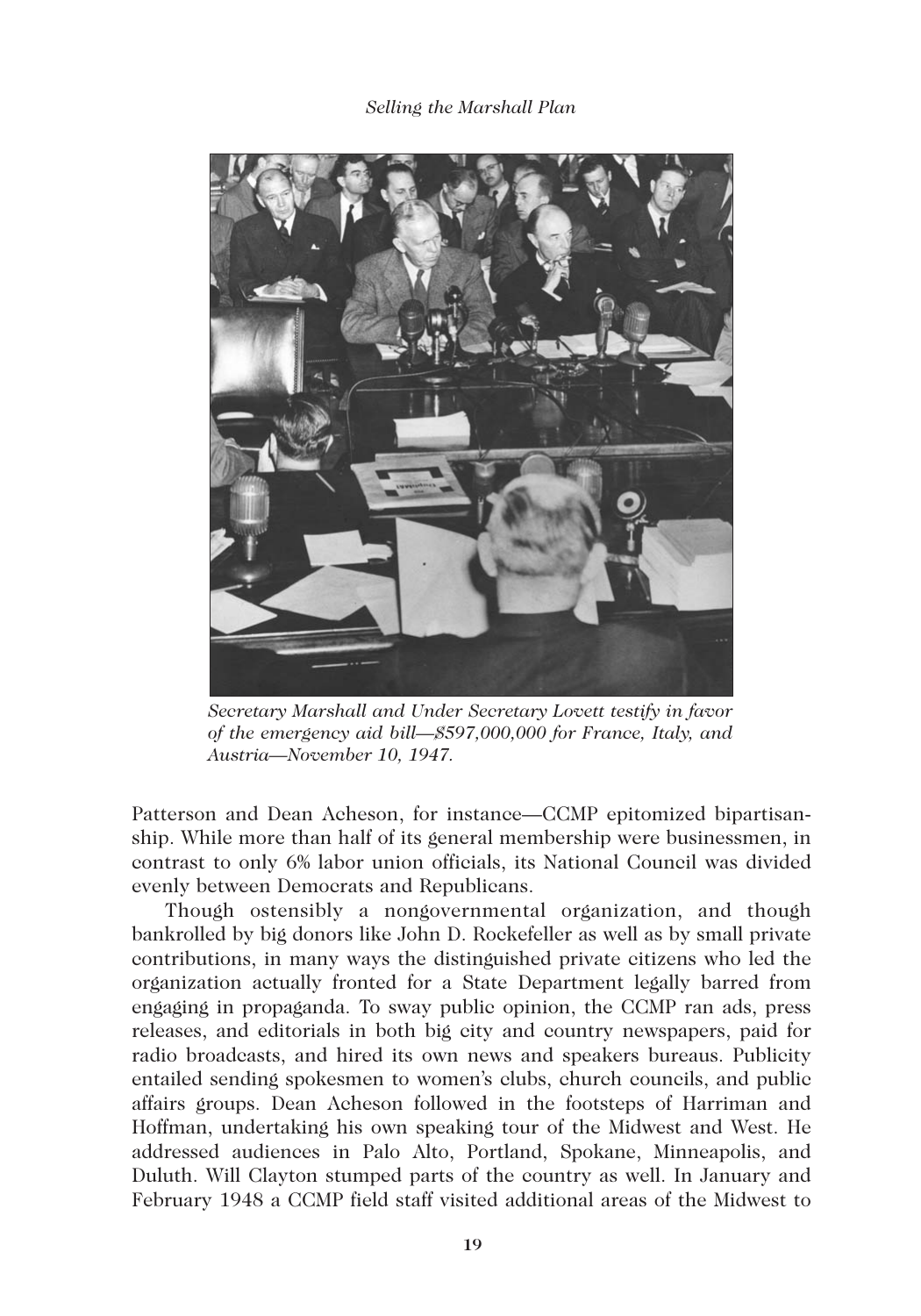# *Selling the Marshall Plan*



*Secretary Marshall and Under Secretary Lovett testify in favor of the emergency aid bill—\$597,000,000 for France, Italy, and Austria—November 10, 1947.*

Patterson and Dean Acheson, for instance—CCMP epitomized bipartisanship. While more than half of its general membership were businessmen, in contrast to only 6% labor union officials, its National Council was divided evenly between Democrats and Republicans.

Though ostensibly a nongovernmental organization, and though bankrolled by big donors like John D. Rockefeller as well as by small private contributions, in many ways the distinguished private citizens who led the organization actually fronted for a State Department legally barred from engaging in propaganda. To sway public opinion, the CCMP ran ads, press releases, and editorials in both big city and country newspapers, paid for radio broadcasts, and hired its own news and speakers bureaus. Publicity entailed sending spokesmen to women's clubs, church councils, and public affairs groups. Dean Acheson followed in the footsteps of Harriman and Hoffman, undertaking his own speaking tour of the Midwest and West. He addressed audiences in Palo Alto, Portland, Spokane, Minneapolis, and Duluth. Will Clayton stumped parts of the country as well. In January and February 1948 a CCMP field staff visited additional areas of the Midwest to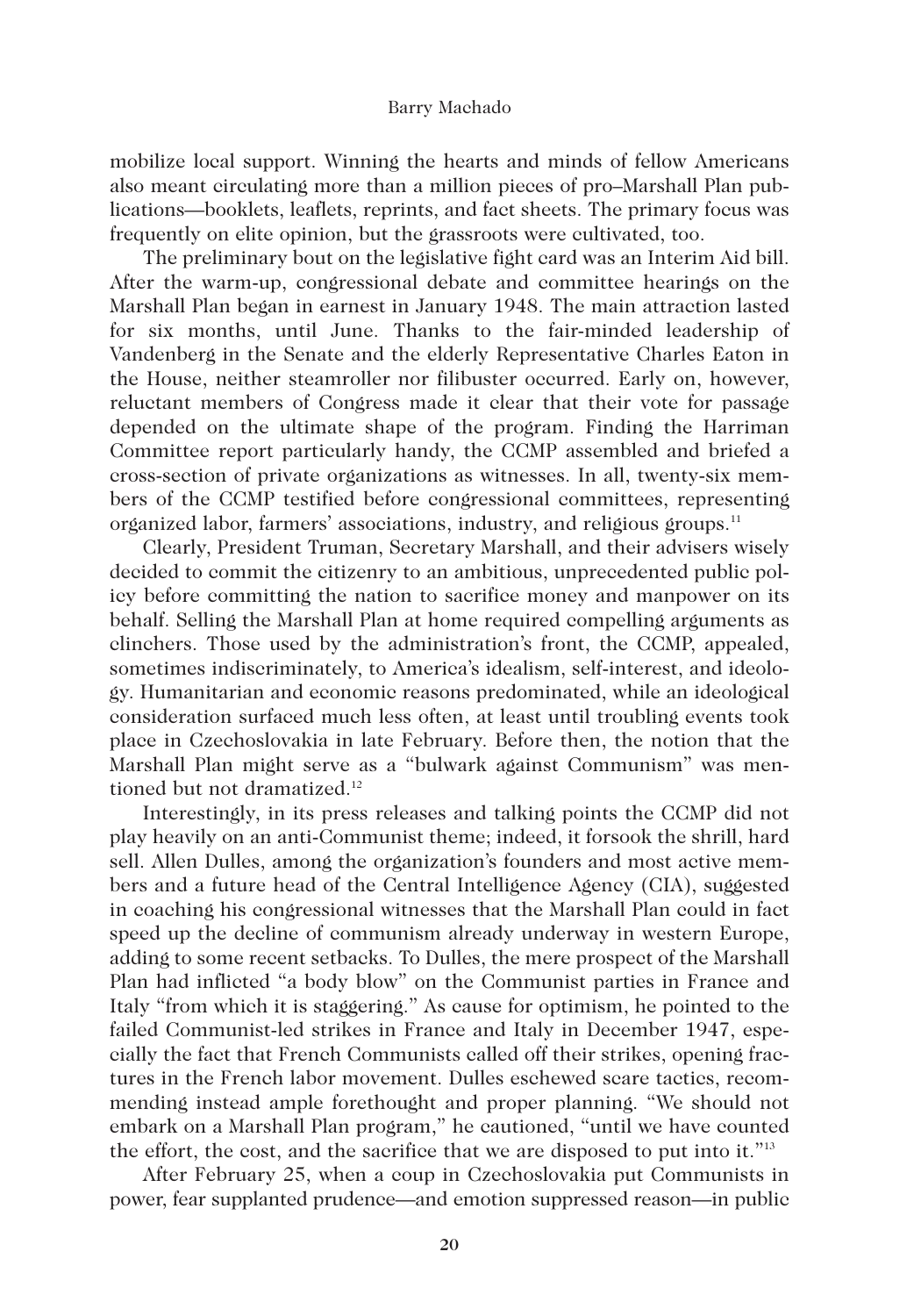mobilize local support. Winning the hearts and minds of fellow Americans also meant circulating more than a million pieces of pro–Marshall Plan publications—booklets, leaflets, reprints, and fact sheets. The primary focus was frequently on elite opinion, but the grassroots were cultivated, too.

The preliminary bout on the legislative fight card was an Interim Aid bill. After the warm-up, congressional debate and committee hearings on the Marshall Plan began in earnest in January 1948. The main attraction lasted for six months, until June. Thanks to the fair-minded leadership of Vandenberg in the Senate and the elderly Representative Charles Eaton in the House, neither steamroller nor filibuster occurred. Early on, however, reluctant members of Congress made it clear that their vote for passage depended on the ultimate shape of the program. Finding the Harriman Committee report particularly handy, the CCMP assembled and briefed a cross-section of private organizations as witnesses. In all, twenty-six members of the CCMP testified before congressional committees, representing organized labor, farmers' associations, industry, and religious groups.11

Clearly, President Truman, Secretary Marshall, and their advisers wisely decided to commit the citizenry to an ambitious, unprecedented public policy before committing the nation to sacrifice money and manpower on its behalf. Selling the Marshall Plan at home required compelling arguments as clinchers. Those used by the administration's front, the CCMP, appealed, sometimes indiscriminately, to America's idealism, self-interest, and ideology. Humanitarian and economic reasons predominated, while an ideological consideration surfaced much less often, at least until troubling events took place in Czechoslovakia in late February. Before then, the notion that the Marshall Plan might serve as a "bulwark against Communism" was mentioned but not dramatized.<sup>12</sup>

Interestingly, in its press releases and talking points the CCMP did not play heavily on an anti-Communist theme; indeed, it forsook the shrill, hard sell. Allen Dulles, among the organization's founders and most active members and a future head of the Central Intelligence Agency (CIA), suggested in coaching his congressional witnesses that the Marshall Plan could in fact speed up the decline of communism already underway in western Europe, adding to some recent setbacks. To Dulles, the mere prospect of the Marshall Plan had inflicted "a body blow" on the Communist parties in France and Italy "from which it is staggering." As cause for optimism, he pointed to the failed Communist-led strikes in France and Italy in December 1947, especially the fact that French Communists called off their strikes, opening fractures in the French labor movement. Dulles eschewed scare tactics, recommending instead ample forethought and proper planning. "We should not embark on a Marshall Plan program," he cautioned, "until we have counted the effort, the cost, and the sacrifice that we are disposed to put into it."13

After February 25, when a coup in Czechoslovakia put Communists in power, fear supplanted prudence—and emotion suppressed reason—in public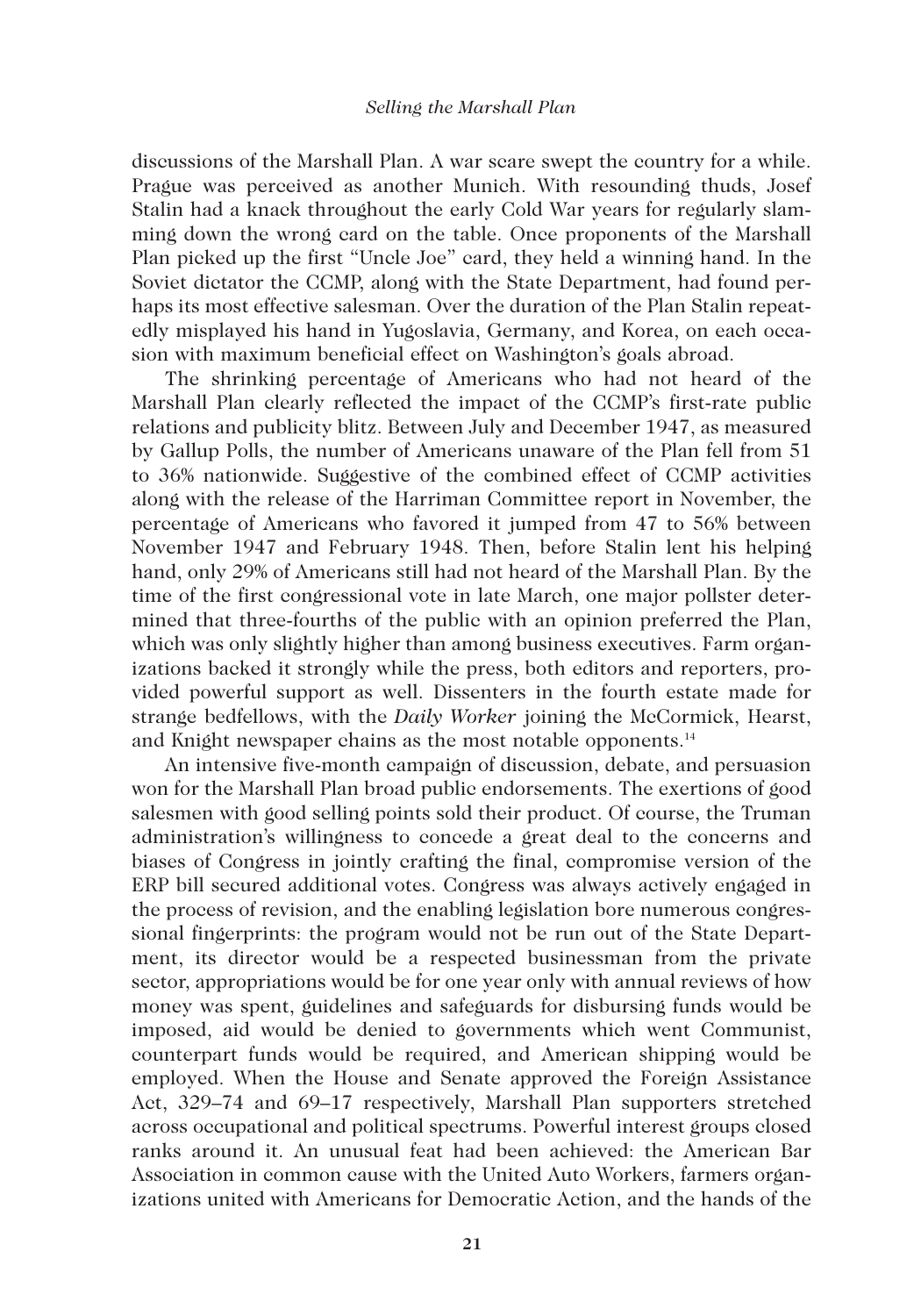discussions of the Marshall Plan. A war scare swept the country for a while. Prague was perceived as another Munich. With resounding thuds, Josef Stalin had a knack throughout the early Cold War years for regularly slamming down the wrong card on the table. Once proponents of the Marshall Plan picked up the first "Uncle Joe" card, they held a winning hand. In the Soviet dictator the CCMP, along with the State Department, had found perhaps its most effective salesman. Over the duration of the Plan Stalin repeatedly misplayed his hand in Yugoslavia, Germany, and Korea, on each occasion with maximum beneficial effect on Washington's goals abroad.

The shrinking percentage of Americans who had not heard of the Marshall Plan clearly reflected the impact of the CCMP's first-rate public relations and publicity blitz. Between July and December 1947, as measured by Gallup Polls, the number of Americans unaware of the Plan fell from 51 to 36% nationwide. Suggestive of the combined effect of CCMP activities along with the release of the Harriman Committee report in November, the percentage of Americans who favored it jumped from 47 to 56% between November 1947 and February 1948. Then, before Stalin lent his helping hand, only 29% of Americans still had not heard of the Marshall Plan. By the time of the first congressional vote in late March, one major pollster determined that three-fourths of the public with an opinion preferred the Plan, which was only slightly higher than among business executives. Farm organizations backed it strongly while the press, both editors and reporters, provided powerful support as well. Dissenters in the fourth estate made for strange bedfellows, with the *Daily Worker* joining the McCormick, Hearst, and Knight newspaper chains as the most notable opponents.<sup>14</sup>

An intensive five-month campaign of discussion, debate, and persuasion won for the Marshall Plan broad public endorsements. The exertions of good salesmen with good selling points sold their product. Of course, the Truman administration's willingness to concede a great deal to the concerns and biases of Congress in jointly crafting the final, compromise version of the ERP bill secured additional votes. Congress was always actively engaged in the process of revision, and the enabling legislation bore numerous congressional fingerprints: the program would not be run out of the State Department, its director would be a respected businessman from the private sector, appropriations would be for one year only with annual reviews of how money was spent, guidelines and safeguards for disbursing funds would be imposed, aid would be denied to governments which went Communist, counterpart funds would be required, and American shipping would be employed. When the House and Senate approved the Foreign Assistance Act, 329–74 and 69–17 respectively, Marshall Plan supporters stretched across occupational and political spectrums. Powerful interest groups closed ranks around it. An unusual feat had been achieved: the American Bar Association in common cause with the United Auto Workers, farmers organizations united with Americans for Democratic Action, and the hands of the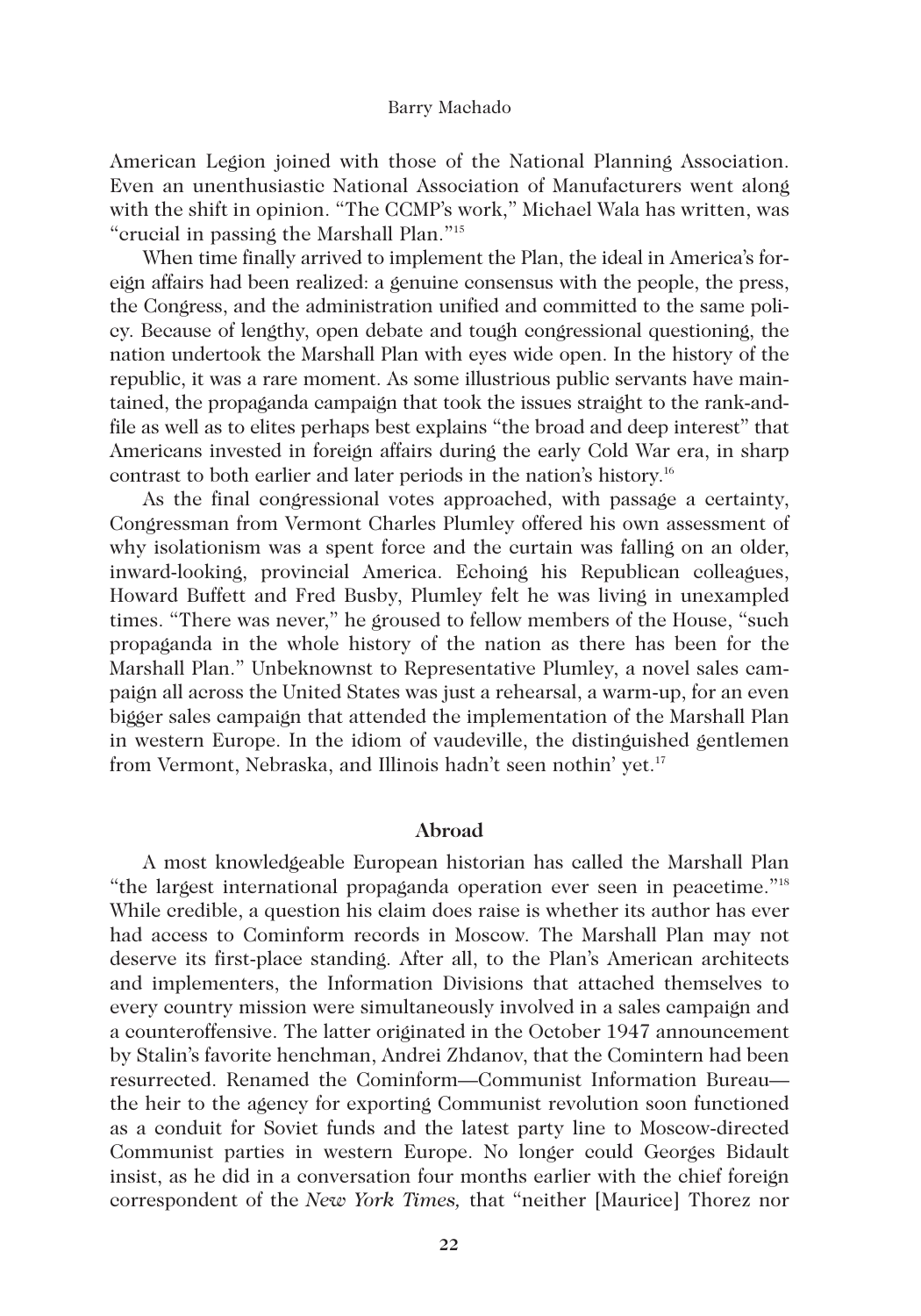American Legion joined with those of the National Planning Association. Even an unenthusiastic National Association of Manufacturers went along with the shift in opinion. "The CCMP's work," Michael Wala has written, was "crucial in passing the Marshall Plan."15

When time finally arrived to implement the Plan, the ideal in America's foreign affairs had been realized: a genuine consensus with the people, the press, the Congress, and the administration unified and committed to the same policy. Because of lengthy, open debate and tough congressional questioning, the nation undertook the Marshall Plan with eyes wide open. In the history of the republic, it was a rare moment. As some illustrious public servants have maintained, the propaganda campaign that took the issues straight to the rank-andfile as well as to elites perhaps best explains "the broad and deep interest" that Americans invested in foreign affairs during the early Cold War era, in sharp contrast to both earlier and later periods in the nation's history.16

As the final congressional votes approached, with passage a certainty, Congressman from Vermont Charles Plumley offered his own assessment of why isolationism was a spent force and the curtain was falling on an older, inward-looking, provincial America. Echoing his Republican colleagues, Howard Buffett and Fred Busby, Plumley felt he was living in unexampled times. "There was never," he groused to fellow members of the House, "such propaganda in the whole history of the nation as there has been for the Marshall Plan." Unbeknownst to Representative Plumley, a novel sales campaign all across the United States was just a rehearsal, a warm-up, for an even bigger sales campaign that attended the implementation of the Marshall Plan in western Europe. In the idiom of vaudeville, the distinguished gentlemen from Vermont, Nebraska, and Illinois hadn't seen nothin' yet.17

#### **Abroad**

A most knowledgeable European historian has called the Marshall Plan "the largest international propaganda operation ever seen in peacetime."18 While credible, a question his claim does raise is whether its author has ever had access to Cominform records in Moscow. The Marshall Plan may not deserve its first-place standing. After all, to the Plan's American architects and implementers, the Information Divisions that attached themselves to every country mission were simultaneously involved in a sales campaign and a counteroffensive. The latter originated in the October 1947 announcement by Stalin's favorite henchman, Andrei Zhdanov, that the Comintern had been resurrected. Renamed the Cominform—Communist Information Bureau the heir to the agency for exporting Communist revolution soon functioned as a conduit for Soviet funds and the latest party line to Moscow-directed Communist parties in western Europe. No longer could Georges Bidault insist, as he did in a conversation four months earlier with the chief foreign correspondent of the *New York Times,* that "neither [Maurice] Thorez nor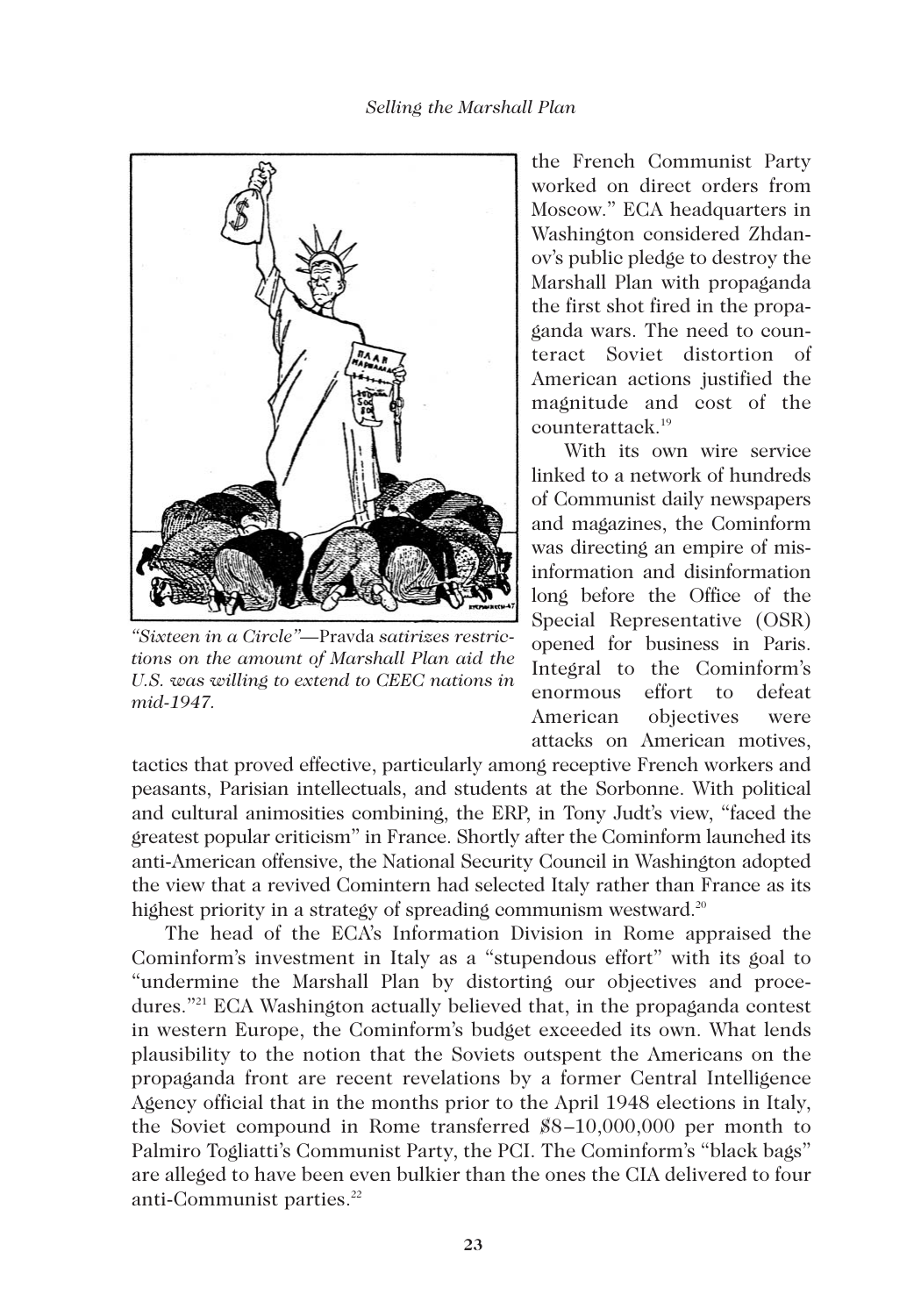

*"Sixteen in a Circle"—*Pravda *satirizes restrictions on the amount of Marshall Plan aid the U.S. was willing to extend to CEEC nations in mid-1947.*

the French Communist Party worked on direct orders from Moscow." ECA headquarters in Washington considered Zhdanov's public pledge to destroy the Marshall Plan with propaganda the first shot fired in the propaganda wars. The need to counteract Soviet distortion of American actions justified the magnitude and cost of the counterattack.19

With its own wire service linked to a network of hundreds of Communist daily newspapers and magazines, the Cominform was directing an empire of misinformation and disinformation long before the Office of the Special Representative (OSR) opened for business in Paris. Integral to the Cominform's enormous effort to defeat American objectives were attacks on American motives,

tactics that proved effective, particularly among receptive French workers and peasants, Parisian intellectuals, and students at the Sorbonne. With political and cultural animosities combining, the ERP, in Tony Judt's view, "faced the greatest popular criticism" in France. Shortly after the Cominform launched its anti-American offensive, the National Security Council in Washington adopted the view that a revived Comintern had selected Italy rather than France as its highest priority in a strategy of spreading communism westward.<sup>20</sup>

The head of the ECA's Information Division in Rome appraised the Cominform's investment in Italy as a "stupendous effort" with its goal to "undermine the Marshall Plan by distorting our objectives and procedures."21 ECA Washington actually believed that, in the propaganda contest in western Europe, the Cominform's budget exceeded its own. What lends plausibility to the notion that the Soviets outspent the Americans on the propaganda front are recent revelations by a former Central Intelligence Agency official that in the months prior to the April 1948 elections in Italy, the Soviet compound in Rome transferred \$8–10,000,000 per month to Palmiro Togliatti's Communist Party, the PCI. The Cominform's "black bags" are alleged to have been even bulkier than the ones the CIA delivered to four anti-Communist parties.<sup>22</sup>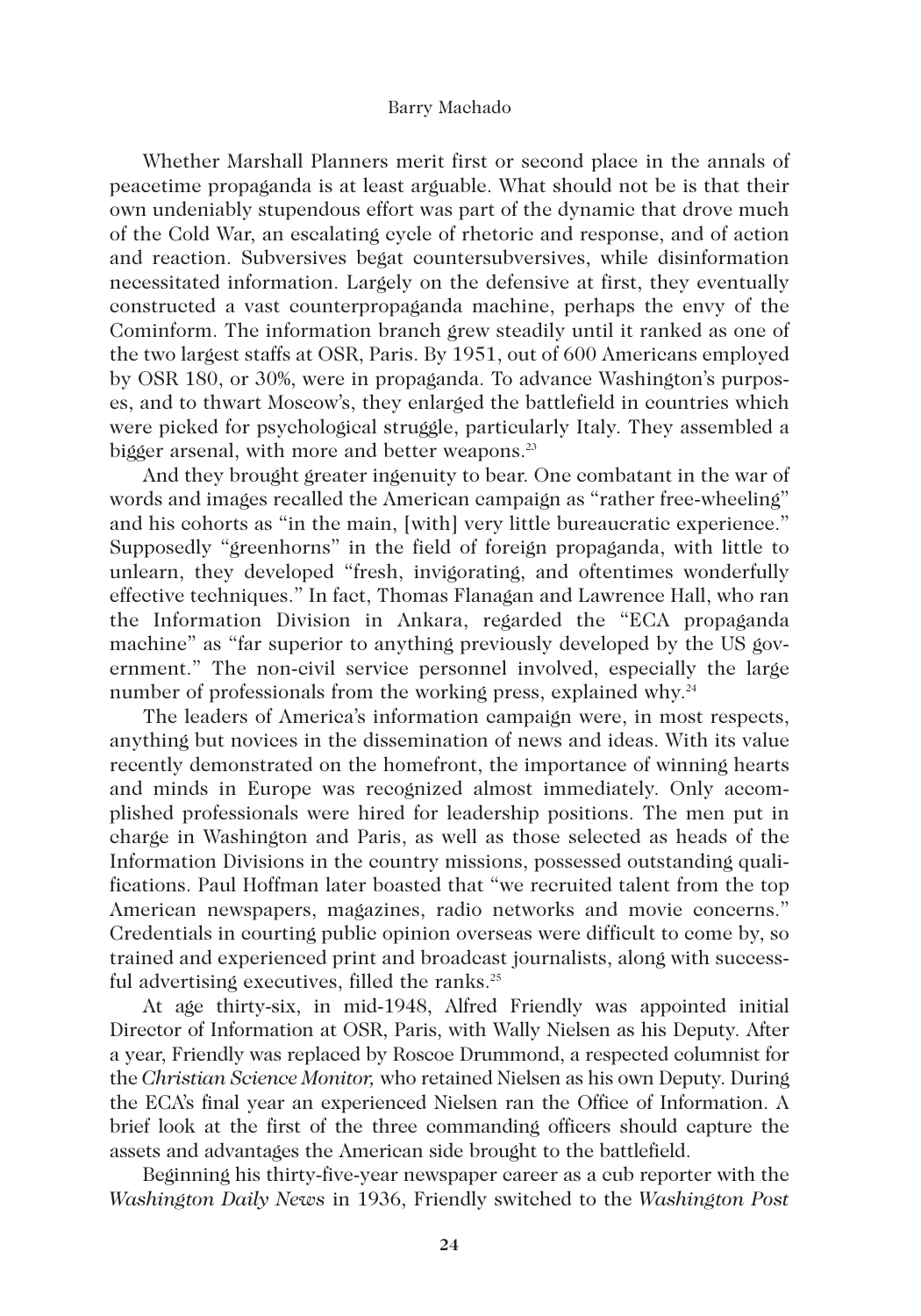Whether Marshall Planners merit first or second place in the annals of peacetime propaganda is at least arguable. What should not be is that their own undeniably stupendous effort was part of the dynamic that drove much of the Cold War, an escalating cycle of rhetoric and response, and of action and reaction. Subversives begat countersubversives, while disinformation necessitated information. Largely on the defensive at first, they eventually constructed a vast counterpropaganda machine, perhaps the envy of the Cominform. The information branch grew steadily until it ranked as one of the two largest staffs at OSR, Paris. By 1951, out of 600 Americans employed by OSR 180, or 30%, were in propaganda. To advance Washington's purposes, and to thwart Moscow's, they enlarged the battlefield in countries which were picked for psychological struggle, particularly Italy. They assembled a bigger arsenal, with more and better weapons.<sup>23</sup>

And they brought greater ingenuity to bear. One combatant in the war of words and images recalled the American campaign as "rather free-wheeling" and his cohorts as "in the main, [with] very little bureaucratic experience." Supposedly "greenhorns" in the field of foreign propaganda, with little to unlearn, they developed "fresh, invigorating, and oftentimes wonderfully effective techniques." In fact, Thomas Flanagan and Lawrence Hall, who ran the Information Division in Ankara, regarded the "ECA propaganda machine" as "far superior to anything previously developed by the US government." The non-civil service personnel involved, especially the large number of professionals from the working press, explained why.<sup>24</sup>

The leaders of America's information campaign were, in most respects, anything but novices in the dissemination of news and ideas. With its value recently demonstrated on the homefront, the importance of winning hearts and minds in Europe was recognized almost immediately. Only accomplished professionals were hired for leadership positions. The men put in charge in Washington and Paris, as well as those selected as heads of the Information Divisions in the country missions, possessed outstanding qualifications. Paul Hoffman later boasted that "we recruited talent from the top American newspapers, magazines, radio networks and movie concerns." Credentials in courting public opinion overseas were difficult to come by, so trained and experienced print and broadcast journalists, along with successful advertising executives, filled the ranks.<sup>25</sup>

At age thirty-six, in mid-1948, Alfred Friendly was appointed initial Director of Information at OSR, Paris, with Wally Nielsen as his Deputy. After a year, Friendly was replaced by Roscoe Drummond, a respected columnist for the *Christian Science Monitor,* who retained Nielsen as his own Deputy. During the ECA's final year an experienced Nielsen ran the Office of Information. A brief look at the first of the three commanding officers should capture the assets and advantages the American side brought to the battlefield.

Beginning his thirty-five-year newspaper career as a cub reporter with the *Washington Daily News* in 1936, Friendly switched to the *Washington Post*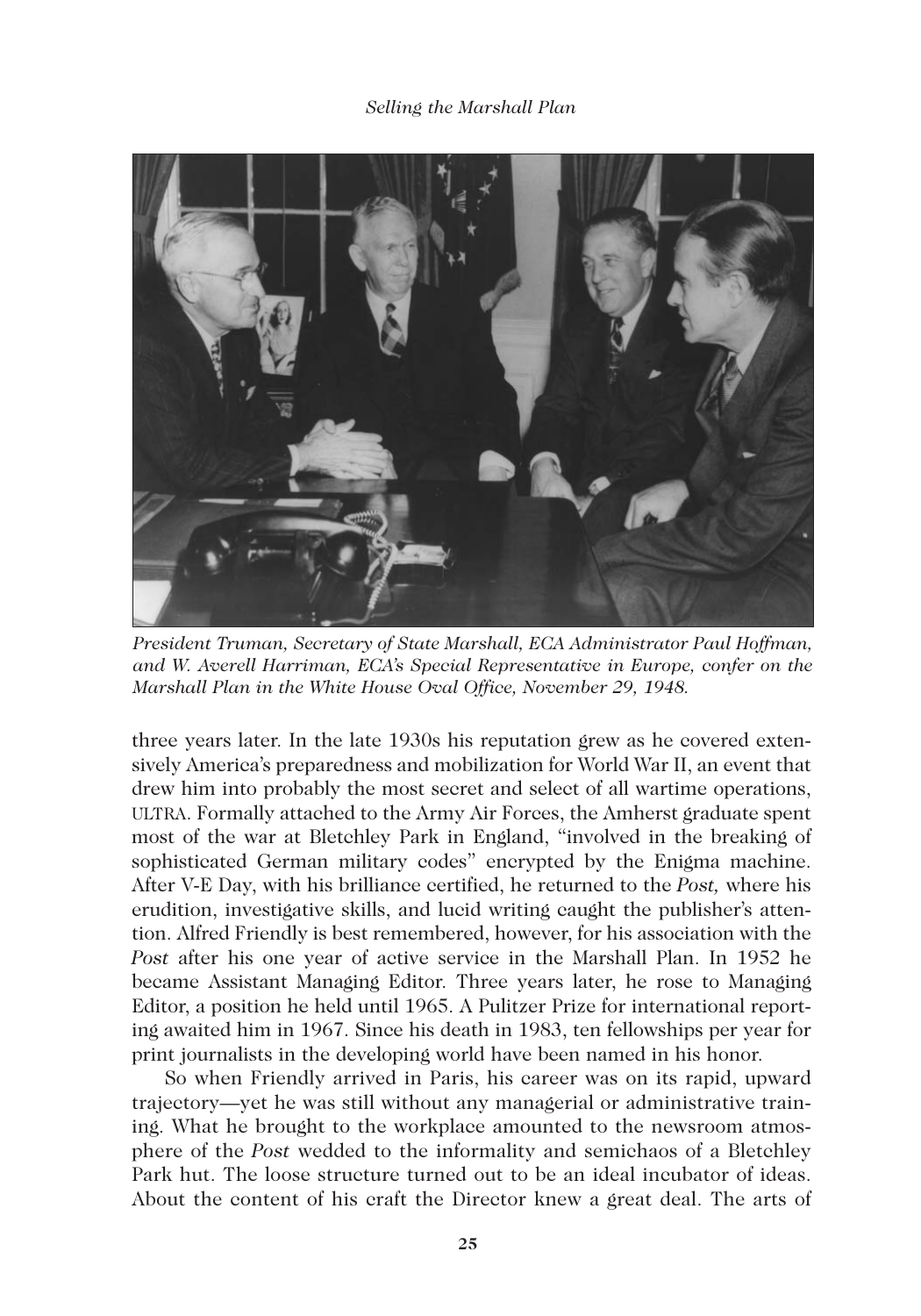

*President Truman, Secretary of State Marshall, ECA Administrator Paul Hoffman, and W. Averell Harriman, ECA's Special Representative in Europe, confer on the Marshall Plan in the White House Oval Office, November 29, 1948.*

three years later. In the late 1930s his reputation grew as he covered extensively America's preparedness and mobilization for World War II, an event that drew him into probably the most secret and select of all wartime operations, ULTRA. Formally attached to the Army Air Forces, the Amherst graduate spent most of the war at Bletchley Park in England, "involved in the breaking of sophisticated German military codes" encrypted by the Enigma machine. After V-E Day, with his brilliance certified, he returned to the *Post,* where his erudition, investigative skills, and lucid writing caught the publisher's attention. Alfred Friendly is best remembered, however, for his association with the *Post* after his one year of active service in the Marshall Plan. In 1952 he became Assistant Managing Editor. Three years later, he rose to Managing Editor, a position he held until 1965. A Pulitzer Prize for international reporting awaited him in 1967. Since his death in 1983, ten fellowships per year for print journalists in the developing world have been named in his honor.

So when Friendly arrived in Paris, his career was on its rapid, upward trajectory—yet he was still without any managerial or administrative training. What he brought to the workplace amounted to the newsroom atmosphere of the *Post* wedded to the informality and semichaos of a Bletchley Park hut. The loose structure turned out to be an ideal incubator of ideas. About the content of his craft the Director knew a great deal. The arts of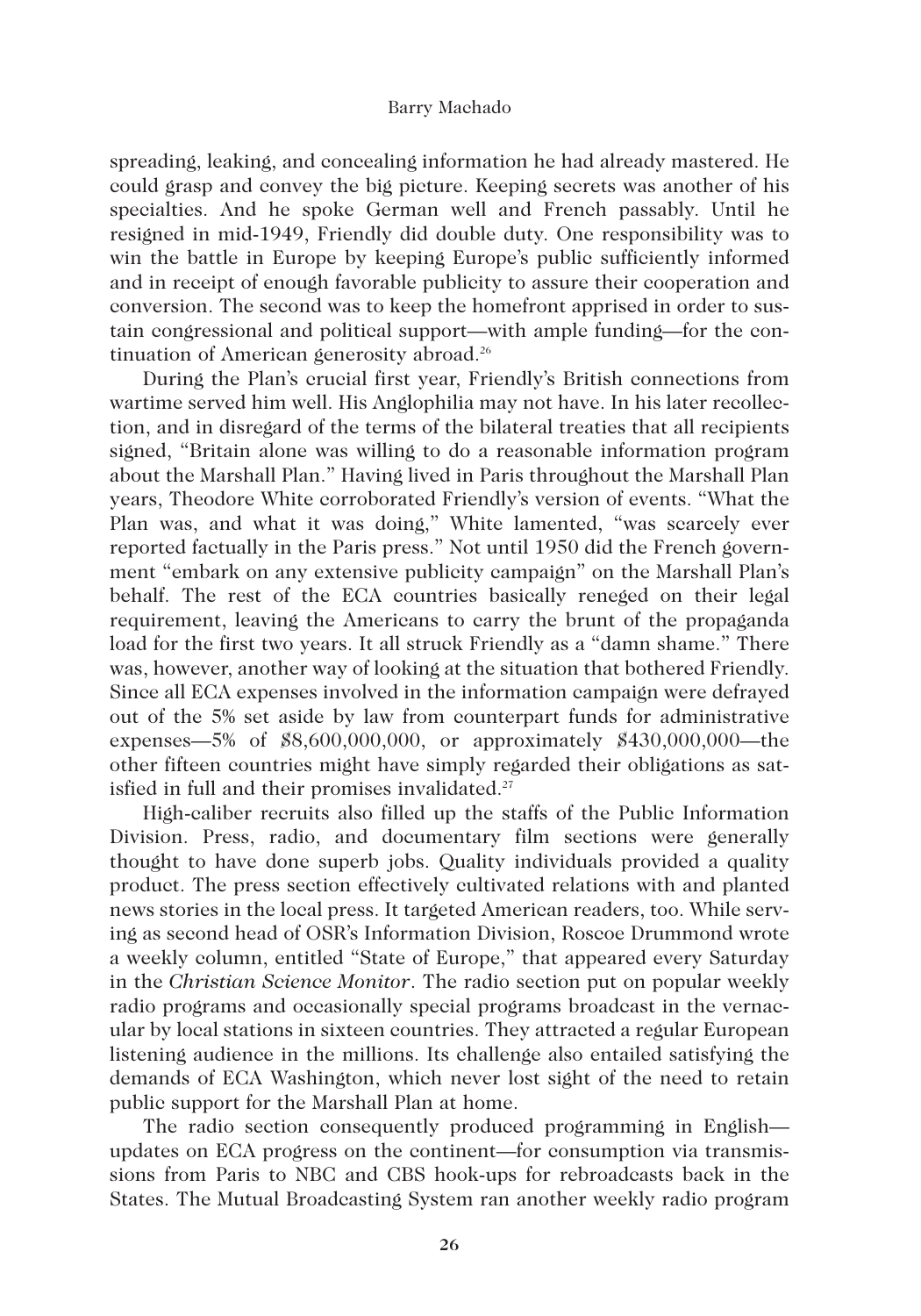spreading, leaking, and concealing information he had already mastered. He could grasp and convey the big picture. Keeping secrets was another of his specialties. And he spoke German well and French passably. Until he resigned in mid-1949, Friendly did double duty. One responsibility was to win the battle in Europe by keeping Europe's public sufficiently informed and in receipt of enough favorable publicity to assure their cooperation and conversion. The second was to keep the homefront apprised in order to sustain congressional and political support—with ample funding—for the continuation of American generosity abroad.<sup>26</sup>

During the Plan's crucial first year, Friendly's British connections from wartime served him well. His Anglophilia may not have. In his later recollection, and in disregard of the terms of the bilateral treaties that all recipients signed, "Britain alone was willing to do a reasonable information program about the Marshall Plan." Having lived in Paris throughout the Marshall Plan years, Theodore White corroborated Friendly's version of events. "What the Plan was, and what it was doing," White lamented, "was scarcely ever reported factually in the Paris press." Not until 1950 did the French government "embark on any extensive publicity campaign" on the Marshall Plan's behalf. The rest of the ECA countries basically reneged on their legal requirement, leaving the Americans to carry the brunt of the propaganda load for the first two years. It all struck Friendly as a "damn shame." There was, however, another way of looking at the situation that bothered Friendly. Since all ECA expenses involved in the information campaign were defrayed out of the 5% set aside by law from counterpart funds for administrative expenses—5% of \$8,600,000,000, or approximately \$430,000,000—the other fifteen countries might have simply regarded their obligations as satisfied in full and their promises invalidated.<sup>27</sup>

High-caliber recruits also filled up the staffs of the Public Information Division. Press, radio, and documentary film sections were generally thought to have done superb jobs. Quality individuals provided a quality product. The press section effectively cultivated relations with and planted news stories in the local press. It targeted American readers, too. While serving as second head of OSR's Information Division, Roscoe Drummond wrote a weekly column, entitled "State of Europe," that appeared every Saturday in the *Christian Science Monitor*. The radio section put on popular weekly radio programs and occasionally special programs broadcast in the vernacular by local stations in sixteen countries. They attracted a regular European listening audience in the millions. Its challenge also entailed satisfying the demands of ECA Washington, which never lost sight of the need to retain public support for the Marshall Plan at home.

The radio section consequently produced programming in English updates on ECA progress on the continent—for consumption via transmissions from Paris to NBC and CBS hook-ups for rebroadcasts back in the States. The Mutual Broadcasting System ran another weekly radio program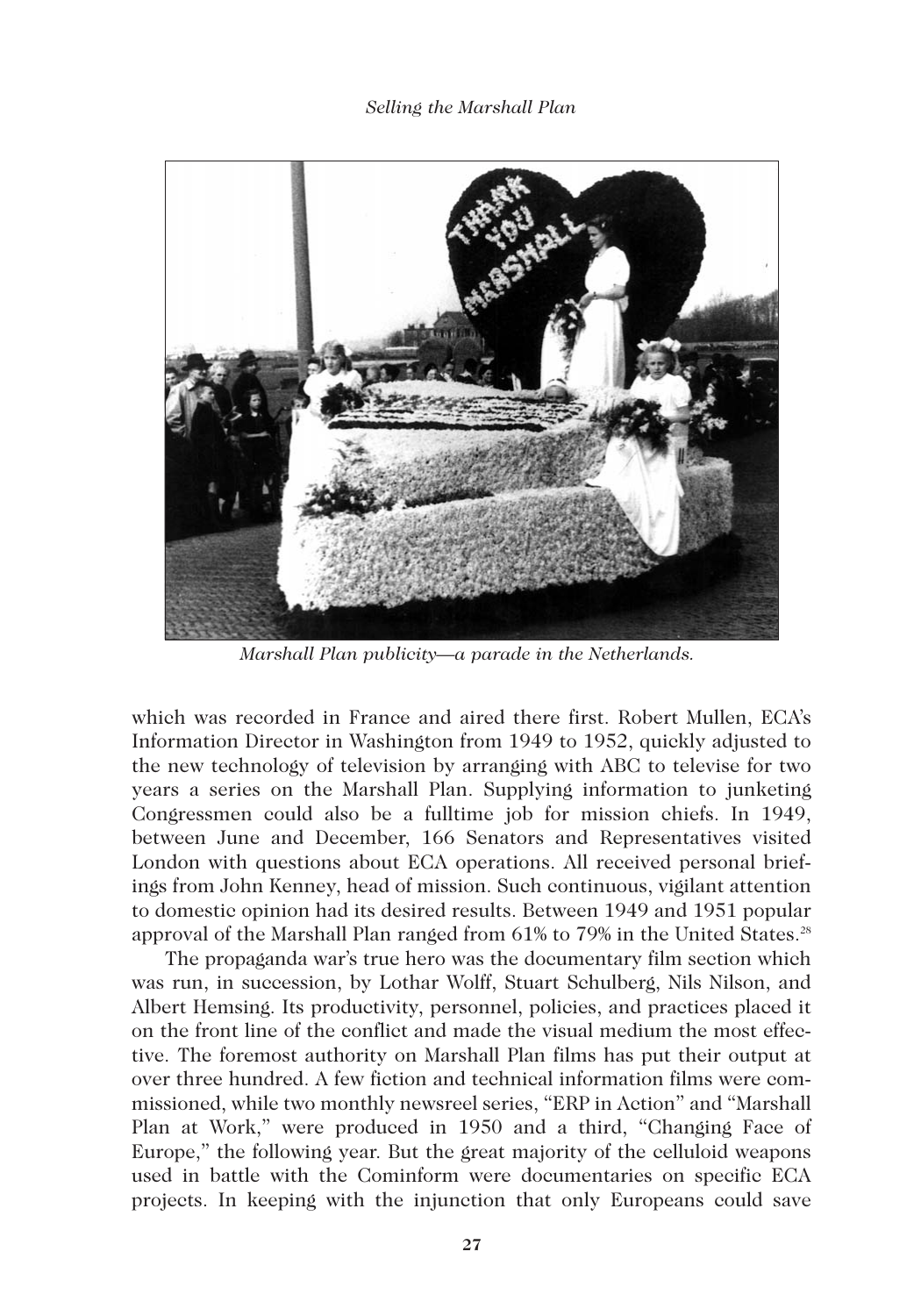

*Marshall Plan publicity—a parade in the Netherlands.*

which was recorded in France and aired there first. Robert Mullen, ECA's Information Director in Washington from 1949 to 1952, quickly adjusted to the new technology of television by arranging with ABC to televise for two years a series on the Marshall Plan. Supplying information to junketing Congressmen could also be a fulltime job for mission chiefs. In 1949, between June and December, 166 Senators and Representatives visited London with questions about ECA operations. All received personal briefings from John Kenney, head of mission. Such continuous, vigilant attention to domestic opinion had its desired results. Between 1949 and 1951 popular approval of the Marshall Plan ranged from 61% to 79% in the United States.<sup>28</sup>

The propaganda war's true hero was the documentary film section which was run, in succession, by Lothar Wolff, Stuart Schulberg, Nils Nilson, and Albert Hemsing. Its productivity, personnel, policies, and practices placed it on the front line of the conflict and made the visual medium the most effective. The foremost authority on Marshall Plan films has put their output at over three hundred. A few fiction and technical information films were commissioned, while two monthly newsreel series, "ERP in Action" and "Marshall Plan at Work," were produced in 1950 and a third, "Changing Face of Europe," the following year. But the great majority of the celluloid weapons used in battle with the Cominform were documentaries on specific ECA projects. In keeping with the injunction that only Europeans could save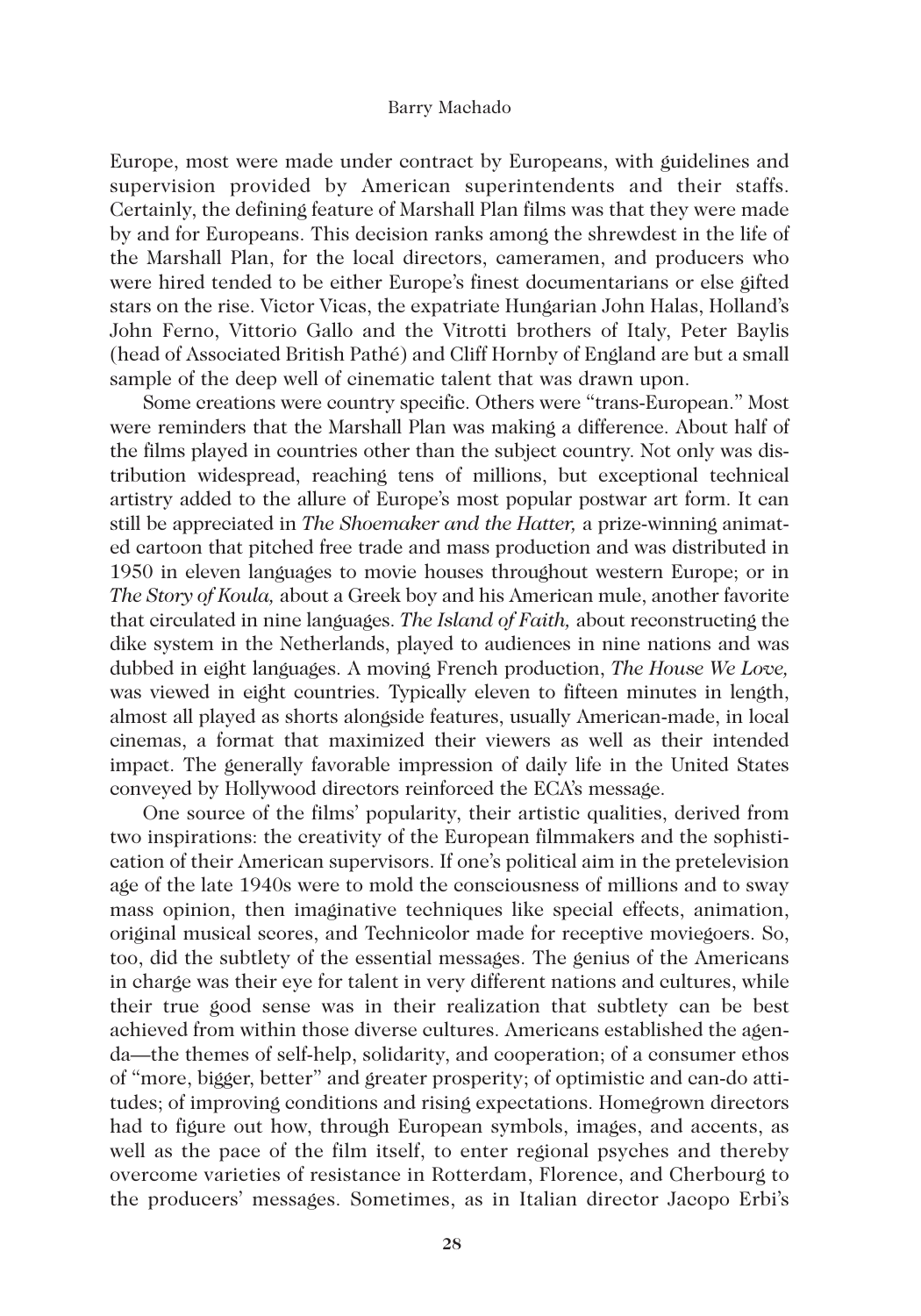Europe, most were made under contract by Europeans, with guidelines and supervision provided by American superintendents and their staffs. Certainly, the defining feature of Marshall Plan films was that they were made by and for Europeans. This decision ranks among the shrewdest in the life of the Marshall Plan, for the local directors, cameramen, and producers who were hired tended to be either Europe's finest documentarians or else gifted stars on the rise. Victor Vicas, the expatriate Hungarian John Halas, Holland's John Ferno, Vittorio Gallo and the Vitrotti brothers of Italy, Peter Baylis (head of Associated British Pathé) and Cliff Hornby of England are but a small sample of the deep well of cinematic talent that was drawn upon.

Some creations were country specific. Others were "trans-European." Most were reminders that the Marshall Plan was making a difference. About half of the films played in countries other than the subject country. Not only was distribution widespread, reaching tens of millions, but exceptional technical artistry added to the allure of Europe's most popular postwar art form. It can still be appreciated in *The Shoemaker and the Hatter,* a prize-winning animated cartoon that pitched free trade and mass production and was distributed in 1950 in eleven languages to movie houses throughout western Europe; or in *The Story of Koula,* about a Greek boy and his American mule, another favorite that circulated in nine languages. *The Island of Faith,* about reconstructing the dike system in the Netherlands, played to audiences in nine nations and was dubbed in eight languages. A moving French production, *The House We Love,* was viewed in eight countries. Typically eleven to fifteen minutes in length, almost all played as shorts alongside features, usually American-made, in local cinemas, a format that maximized their viewers as well as their intended impact. The generally favorable impression of daily life in the United States conveyed by Hollywood directors reinforced the ECA's message.

One source of the films' popularity, their artistic qualities, derived from two inspirations: the creativity of the European filmmakers and the sophistication of their American supervisors. If one's political aim in the pretelevision age of the late 1940s were to mold the consciousness of millions and to sway mass opinion, then imaginative techniques like special effects, animation, original musical scores, and Technicolor made for receptive moviegoers. So, too, did the subtlety of the essential messages. The genius of the Americans in charge was their eye for talent in very different nations and cultures, while their true good sense was in their realization that subtlety can be best achieved from within those diverse cultures. Americans established the agenda—the themes of self-help, solidarity, and cooperation; of a consumer ethos of "more, bigger, better" and greater prosperity; of optimistic and can-do attitudes; of improving conditions and rising expectations. Homegrown directors had to figure out how, through European symbols, images, and accents, as well as the pace of the film itself, to enter regional psyches and thereby overcome varieties of resistance in Rotterdam, Florence, and Cherbourg to the producers' messages. Sometimes, as in Italian director Jacopo Erbi's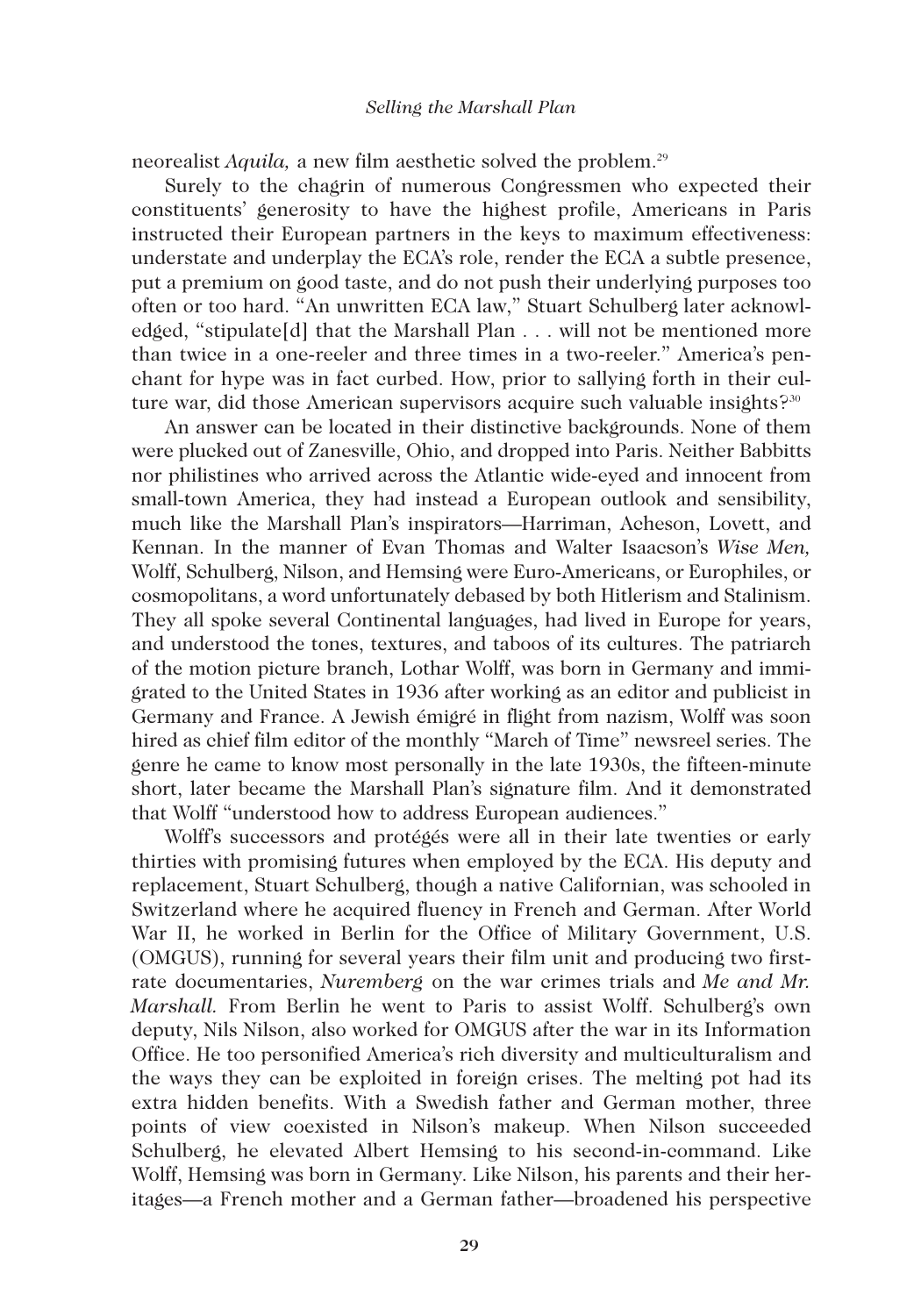neorealist *Aquila*, a new film aesthetic solved the problem.<sup>29</sup>

Surely to the chagrin of numerous Congressmen who expected their constituents' generosity to have the highest profile, Americans in Paris instructed their European partners in the keys to maximum effectiveness: understate and underplay the ECA's role, render the ECA a subtle presence, put a premium on good taste, and do not push their underlying purposes too often or too hard. "An unwritten ECA law," Stuart Schulberg later acknowledged, "stipulate[d] that the Marshall Plan . . . will not be mentioned more than twice in a one-reeler and three times in a two-reeler." America's penchant for hype was in fact curbed. How, prior to sallying forth in their culture war, did those American supervisors acquire such valuable insights?<sup>30</sup>

An answer can be located in their distinctive backgrounds. None of them were plucked out of Zanesville, Ohio, and dropped into Paris. Neither Babbitts nor philistines who arrived across the Atlantic wide-eyed and innocent from small-town America, they had instead a European outlook and sensibility, much like the Marshall Plan's inspirators—Harriman, Acheson, Lovett, and Kennan. In the manner of Evan Thomas and Walter Isaacson's *Wise Men,* Wolff, Schulberg, Nilson, and Hemsing were Euro-Americans, or Europhiles, or cosmopolitans, a word unfortunately debased by both Hitlerism and Stalinism. They all spoke several Continental languages, had lived in Europe for years, and understood the tones, textures, and taboos of its cultures. The patriarch of the motion picture branch, Lothar Wolff, was born in Germany and immigrated to the United States in 1936 after working as an editor and publicist in Germany and France. A Jewish émigré in flight from nazism, Wolff was soon hired as chief film editor of the monthly "March of Time" newsreel series. The genre he came to know most personally in the late 1930s, the fifteen-minute short, later became the Marshall Plan's signature film. And it demonstrated that Wolff "understood how to address European audiences."

Wolff's successors and protégés were all in their late twenties or early thirties with promising futures when employed by the ECA. His deputy and replacement, Stuart Schulberg, though a native Californian, was schooled in Switzerland where he acquired fluency in French and German. After World War II, he worked in Berlin for the Office of Military Government, U.S. (OMGUS), running for several years their film unit and producing two firstrate documentaries, *Nuremberg* on the war crimes trials and *Me and Mr. Marshall.* From Berlin he went to Paris to assist Wolff. Schulberg's own deputy, Nils Nilson, also worked for OMGUS after the war in its Information Office. He too personified America's rich diversity and multiculturalism and the ways they can be exploited in foreign crises. The melting pot had its extra hidden benefits. With a Swedish father and German mother, three points of view coexisted in Nilson's makeup. When Nilson succeeded Schulberg, he elevated Albert Hemsing to his second-in-command. Like Wolff, Hemsing was born in Germany. Like Nilson, his parents and their heritages—a French mother and a German father—broadened his perspective